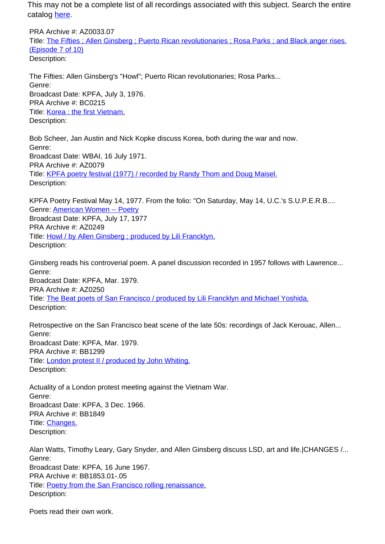PRA Archive #: AZ0033.07 Title: The Fifties ; Allen Ginsberg ; Puerto Rican revolutionaries ; Rosa Parks ; and Black anger rises. (Episode 7 of 10) Description:

The Fifties: Allen Ginsberg's "Howl"; Puerto Rican revolutionaries; Rosa Parks... Genre: Broadcast Date: KPFA, July 3, 1976. PRA Archive #: BC0215 Title: Korea : the first Vietnam. Description:

Bob Scheer, Jan Austin and Nick Kopke discuss Korea, both during the war and now. Genre: Broadcast Date: WBAI, 16 July 1971. PRA Archive #: AZ0079 Title: KPFA poetry festival (1977) / recorded by Randy Thom and Doug Maisel. Description:

KPFA Poetry Festival May 14, 1977. From the folio: "On Saturday, May 14, U.C.'s S.U.P.E.R.B.... Genre: American Women -- Poetry Broadcast Date: KPFA, July 17, 1977 PRA Archive #: AZ0249 Title: Howl / by Allen Ginsberg ; produced by Lili Francklyn. Description:

Ginsberg reads his controverial poem. A panel discussion recorded in 1957 follows with Lawrence... Genre: Broadcast Date: KPFA, Mar. 1979. PRA Archive #: AZ0250 Title: The Beat poets of San Francisco / produced by Lili Francklyn and Michael Yoshida. Description:

Retrospective on the San Francisco beat scene of the late 50s: recordings of Jack Kerouac, Allen... Genre: Broadcast Date: KPFA, Mar. 1979. PRA Archive #: BB1299 Title: London protest II / produced by John Whiting. Description:

Actuality of a London protest meeting against the Vietnam War. Genre: Broadcast Date: KPFA, 3 Dec. 1966. PRA Archive #: BB1849 Title: Changes. Description:

Alan Watts, Timothy Leary, Gary Snyder, and Allen Ginsberg discuss LSD, art and life.|CHANGES /... Genre: Broadcast Date: KPFA, 16 June 1967. PRA Archive #: BB1853.01-.05 Title: **Poetry from the San Francisco rolling renaissance.** Description:

Poets read their own work.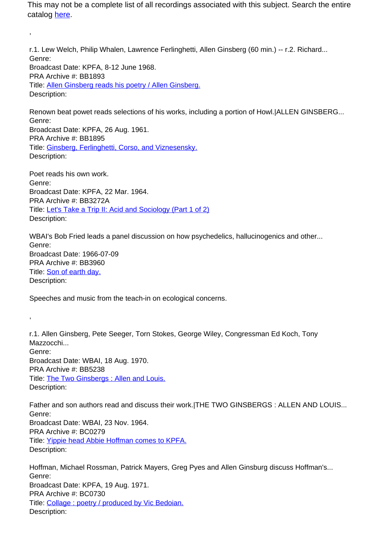r.1. Lew Welch, Philip Whalen, Lawrence Ferlinghetti, Allen Ginsberg (60 min.) -- r.2. Richard... Genre: Broadcast Date: KPFA, 8-12 June 1968. PRA Archive #: BB1893 Title: Allen Ginsberg reads his poetry / Allen Ginsberg. Description:

Renown beat powet reads selections of his works, including a portion of Howl.|ALLEN GINSBERG... Genre: Broadcast Date: KPFA, 26 Aug. 1961. PRA Archive #: BB1895 Title: Ginsberg, Ferlinghetti, Corso, and Viznesensky. Description:

Poet reads his own work. Genre: Broadcast Date: KPFA, 22 Mar. 1964. PRA Archive #: BB3272A Title: Let's Take a Trip II: Acid and Sociology (Part 1 of 2) Description:

,

,

WBAI's Bob Fried leads a panel discussion on how psychedelics, hallucinogenics and other... Genre: Broadcast Date: 1966-07-09 PRA Archive #: BB3960 Title: Son of earth day. Description:

Speeches and music from the teach-in on ecological concerns.

r.1. Allen Ginsberg, Pete Seeger, Torn Stokes, George Wiley, Congressman Ed Koch, Tony Mazzocchi... Genre: Broadcast Date: WBAI, 18 Aug. 1970. PRA Archive #: BB5238 Title: The Two Ginsbergs : Allen and Louis. Description:

Father and son authors read and discuss their work.|THE TWO GINSBERGS : ALLEN AND LOUIS... Genre: Broadcast Date: WBAI, 23 Nov. 1964. PRA Archive #: BC0279 Title: Yippie head Abbie Hoffman comes to KPFA. Description:

Hoffman, Michael Rossman, Patrick Mayers, Greg Pyes and Allen Ginsburg discuss Hoffman's... Genre: Broadcast Date: KPFA, 19 Aug. 1971. PRA Archive #: BC0730 Title: Collage: poetry / produced by Vic Bedoian. Description: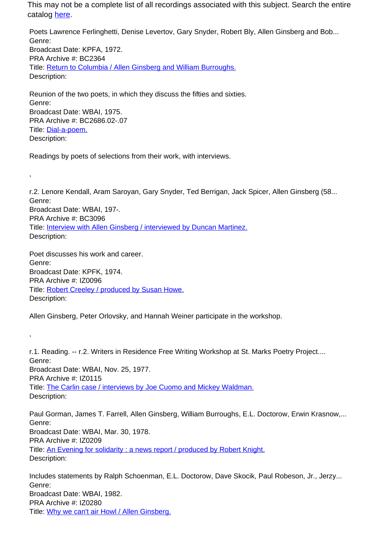Poets Lawrence Ferlinghetti, Denise Levertov, Gary Snyder, Robert Bly, Allen Ginsberg and Bob... Genre: Broadcast Date: KPFA, 1972. PRA Archive #: BC2364 Title: Return to Columbia / Allen Ginsberg and William Burroughs. Description:

Reunion of the two poets, in which they discuss the fifties and sixties. Genre: Broadcast Date: WBAI, 1975. PRA Archive #: BC2686.02-.07 Title: Dial-a-poem. Description:

Readings by poets of selections from their work, with interviews.

r.2. Lenore Kendall, Aram Saroyan, Gary Snyder, Ted Berrigan, Jack Spicer, Allen Ginsberg (58... Genre: Broadcast Date: WBAI, 197-. PRA Archive #: BC3096 Title: Interview with Allen Ginsberg / interviewed by Duncan Martinez. Description:

Poet discusses his work and career. Genre: Broadcast Date: KPFK, 1974. PRA Archive #: IZ0096 Title: Robert Creeley / produced by Susan Howe. Description:

,

,

Allen Ginsberg, Peter Orlovsky, and Hannah Weiner participate in the workshop.

r.1. Reading. -- r.2. Writers in Residence Free Writing Workshop at St. Marks Poetry Project.... Genre: Broadcast Date: WBAI, Nov. 25, 1977. PRA Archive #: IZ0115 Title: The Carlin case / interviews by Joe Cuomo and Mickey Waldman. Description:

Paul Gorman, James T. Farrell, Allen Ginsberg, William Burroughs, E.L. Doctorow, Erwin Krasnow,... Genre: Broadcast Date: WBAI, Mar. 30, 1978. PRA Archive #: IZ0209 Title: An Evening for solidarity : a news report / produced by Robert Knight. Description:

Includes statements by Ralph Schoenman, E.L. Doctorow, Dave Skocik, Paul Robeson, Jr., Jerzy... Genre: Broadcast Date: WBAI, 1982. PRA Archive #: IZ0280 Title: Why we can't air Howl / Allen Ginsberg.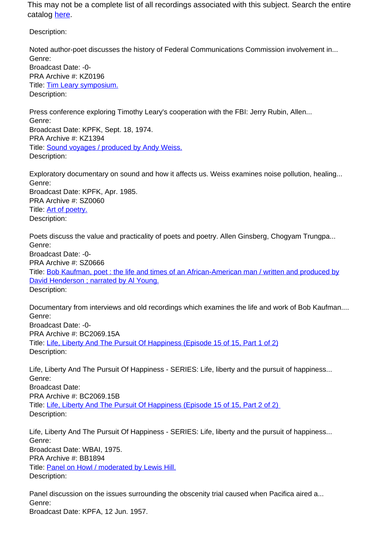Description:

Noted author-poet discusses the history of Federal Communications Commission involvement in... Genre: Broadcast Date: -0- PRA Archive #: KZ0196 Title: Tim Leary symposium. Description:

Press conference exploring Timothy Leary's cooperation with the FBI: Jerry Rubin, Allen... Genre: Broadcast Date: KPFK, Sept. 18, 1974. PRA Archive #: KZ1394 Title: Sound voyages / produced by Andy Weiss. Description:

Exploratory documentary on sound and how it affects us. Weiss examines noise pollution, healing... Genre: Broadcast Date: KPFK, Apr. 1985. PRA Archive #: SZ0060 Title: Art of poetry. Description:

Poets discuss the value and practicality of poets and poetry. Allen Ginsberg, Chogyam Trungpa... Genre: Broadcast Date: -0- PRA Archive #: SZ0666

Title: Bob Kaufman, poet : the life and times of an African-American man / written and produced by David Henderson ; narrated by Al Young. Description:

Documentary from interviews and old recordings which examines the life and work of Bob Kaufman.... Genre: Broadcast Date: -0- PRA Archive #: BC2069.15A Title: Life, Liberty And The Pursuit Of Happiness (Episode 15 of 15, Part 1 of 2) Description:

Life, Liberty And The Pursuit Of Happiness - SERIES: Life, liberty and the pursuit of happiness... Genre: Broadcast Date: PRA Archive #: BC2069.15B Title: Life, Liberty And The Pursuit Of Happiness (Episode 15 of 15, Part 2 of 2) Description:

Life, Liberty And The Pursuit Of Happiness - SERIES: Life, liberty and the pursuit of happiness... Genre: Broadcast Date: WBAI, 1975. PRA Archive #: BB1894 Title: Panel on Howl / moderated by Lewis Hill. Description:

Panel discussion on the issues surrounding the obscenity trial caused when Pacifica aired a... Genre: Broadcast Date: KPFA, 12 Jun. 1957.